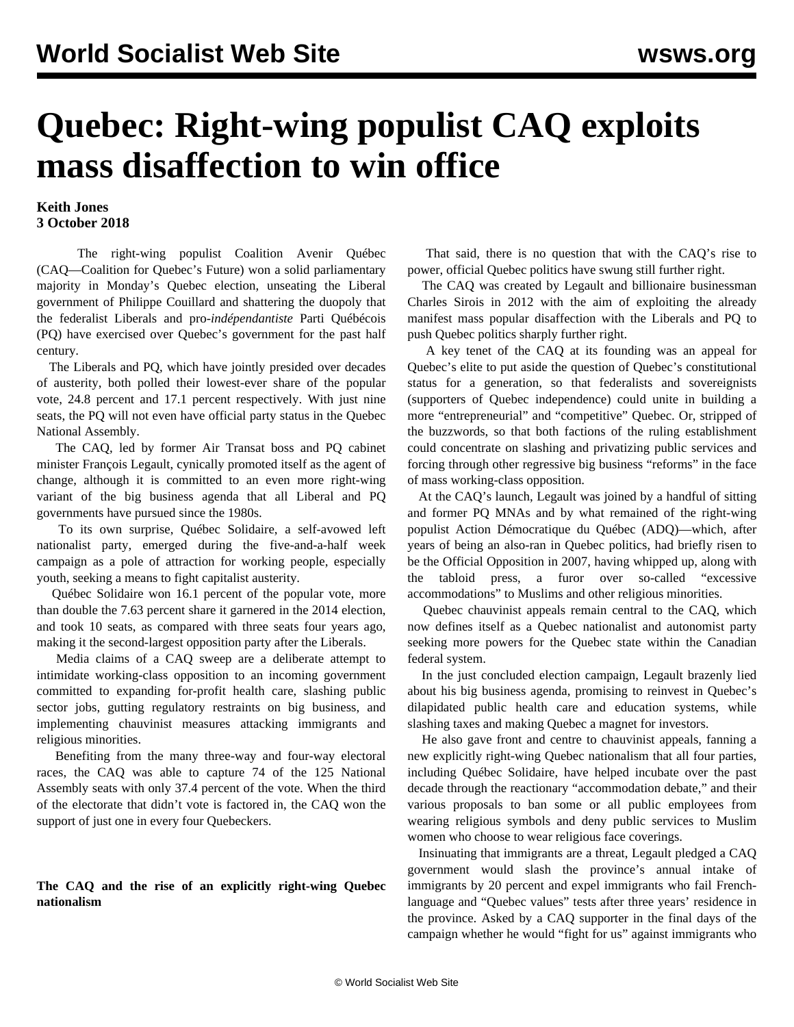# **Quebec: Right-wing populist CAQ exploits mass disaffection to win office**

### **Keith Jones 3 October 2018**

 The right-wing populist Coalition Avenir Québec (CAQ—Coalition for Quebec's Future) won a solid parliamentary majority in Monday's Quebec election, unseating the Liberal government of Philippe Couillard and shattering the duopoly that the federalist Liberals and pro-*indépendantiste* Parti Québécois (PQ) have exercised over Quebec's government for the past half century.

 The Liberals and PQ, which have jointly presided over decades of austerity, both polled their lowest-ever share of the popular vote, 24.8 percent and 17.1 percent respectively. With just nine seats, the PQ will not even have official party status in the Quebec National Assembly.

 The CAQ, led by former Air Transat boss and PQ cabinet minister François Legault, cynically promoted itself as the agent of change, although it is committed to an even more right-wing variant of the big business agenda that all Liberal and PQ governments have pursued since the 1980s.

 To its own surprise, Québec Solidaire, a self-avowed left nationalist party, emerged during the five-and-a-half week campaign as a pole of attraction for working people, especially youth, seeking a means to fight capitalist austerity.

 Québec Solidaire won 16.1 percent of the popular vote, more than double the 7.63 percent share it garnered in the 2014 election, and took 10 seats, as compared with three seats four years ago, making it the second-largest opposition party after the Liberals.

 Media claims of a CAQ sweep are a deliberate attempt to intimidate working-class opposition to an incoming government committed to expanding for-profit health care, slashing public sector jobs, gutting regulatory restraints on big business, and implementing chauvinist measures attacking immigrants and religious minorities.

 Benefiting from the many three-way and four-way electoral races, the CAQ was able to capture 74 of the 125 National Assembly seats with only 37.4 percent of the vote. When the third of the electorate that didn't vote is factored in, the CAQ won the support of just one in every four Quebeckers.

#### **The CAQ and the rise of an explicitly right-wing Quebec nationalism**

 That said, there is no question that with the CAQ's rise to power, official Quebec politics have swung still further right.

 The CAQ was created by Legault and billionaire businessman Charles Sirois in 2012 with the aim of exploiting the already manifest mass popular disaffection with the Liberals and PQ to push Quebec politics sharply further right.

 A key tenet of the CAQ at its founding was an appeal for Quebec's elite to put aside the question of Quebec's constitutional status for a generation, so that federalists and sovereignists (supporters of Quebec independence) could unite in building a more "entrepreneurial" and "competitive" Quebec. Or, stripped of the buzzwords, so that both factions of the ruling establishment could concentrate on slashing and privatizing public services and forcing through other regressive big business "reforms" in the face of mass working-class opposition.

 At the CAQ's launch, Legault was joined by a handful of sitting and former PQ MNAs and by what remained of the right-wing populist Action Démocratique du Québec (ADQ)—which, after years of being an also-ran in Quebec politics, had briefly risen to be the Official Opposition in 2007, having whipped up, along with the tabloid press, a furor over so-called "excessive accommodations" to Muslims and other religious minorities.

 Quebec chauvinist appeals remain central to the CAQ, which now defines itself as a Quebec nationalist and autonomist party seeking more powers for the Quebec state within the Canadian federal system.

 In the just concluded election campaign, Legault brazenly lied about his big business agenda, promising to reinvest in Quebec's dilapidated public health care and education systems, while slashing taxes and making Quebec a magnet for investors.

 He also gave front and centre to chauvinist appeals, fanning a new explicitly right-wing Quebec nationalism that all four parties, including Québec Solidaire, have helped incubate over the past decade through the reactionary "accommodation debate," and their various proposals to ban some or all public employees from wearing religious symbols and deny public services to Muslim women who choose to wear religious face coverings.

 Insinuating that immigrants are a threat, Legault pledged a CAQ government would slash the province's annual intake of immigrants by 20 percent and expel immigrants who fail Frenchlanguage and "Quebec values" tests after three years' residence in the province. Asked by a CAQ supporter in the final days of the campaign whether he would "fight for us" against immigrants who